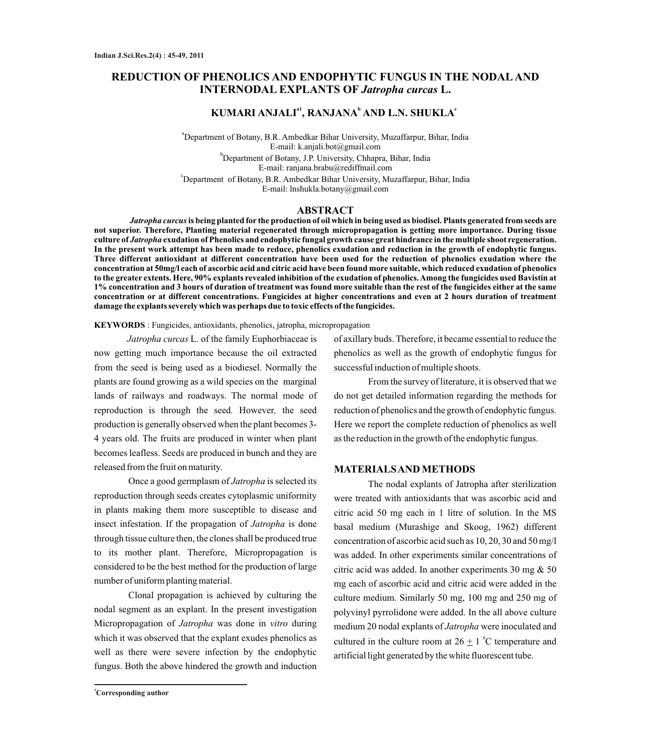# **REDUCTION OF PHENOLICS AND ENDOPHYTIC FUNGUS IN THE NODALAND INTERNODAL EXPLANTS OF** *Jatropha curcas* **L.**

# **a1 <sup>b</sup> <sup>c</sup> KUMARI ANJALI , RANJANA AND L.N. SHUKLA**

a Department of Botany, B.R. Ambedkar Bihar University, Muzaffarpur, Bihar, India E-mail: k.anjali.bot@gmail.com b Department of Botany, J.P. University, Chhapra, Bihar, India E-mail: ranjana.brabu@rediffmail.com

c Department of Botany, B.R. Ambedkar Bihar University, Muzaffarpur, Bihar, India E-mail: lnshukla.botany@gmail.com

### **ABSTRACT**

*Jatropha curcus***is being planted for the production of oil which in being used as biodisel. Plants generated from seeds are not superior. Therefore, Planting material regenerated through micropropagation is getting more importance. During tissue culture of** *Jatropha* **exudation of Phenolics and endophytic fungal growth cause great hindrance in the multiple shoot regeneration. In the present work attempt has been made to reduce, phenolics exudation and reduction in the growth of endophytic fungus. Three different antioxidant at different concentration have been used for the reduction of phenolics exudation where the concentration at 50mg/l each of ascorbic acid and citric acid have been found more suitable, which reduced exudation of phenolics to the greater extents. Here, 90% explants revealed inhibition of the exudation of phenolics. Among the fungicides used Bavistin at 1% concentration and 3 hours of duration of treatment was found more suitable than the rest of the fungicides either at the same concentration or at different concentrations. Fungicides at higher concentrations and even at 2 hours duration of treatment damage the explants severely which was perhaps due to toxic effects of the fungicides.**

### **KEYWORDS** : Fungicides, antioxidants, phenolics, jatropha, micropropagation

*Jatropha curcas* L. of the family Euphorbiaceae is now getting much importance because the oil extracted from the seed is being used as a biodiesel. Normally the plants are found growing as a wild species on the marginal lands of railways and roadways. The normal mode of reproduction is through the seed*.* However*,* the seed production is generally observed when the plant becomes 3- 4 years old. The fruits are produced in winter when plant becomes leafless. Seeds are produced in bunch and they are released from the fruit on maturity.

Once a good germplasm of *Jatropha* is selected its reproduction through seeds creates cytoplasmic uniformity in plants making them more susceptible to disease and insect infestation. If the propagation of *Jatropha* is done through tissue culture then, the clones shall be produced true to its mother plant. Therefore, Micropropagation is considered to be the best method for the production of large number of uniform planting material.

Clonal propagation is achieved by culturing the nodal segment as an explant. In the present investigation Micropropagation of *Jatropha* was done in *vitro* during which it was observed that the explant exudes phenolics as well as there were severe infection by the endophytic fungus. Both the above hindered the growth and induction

of axillary buds. Therefore, it became essential to reduce the phenolics as well as the growth of endophytic fungus for successful induction of multiple shoots.

From the survey of literature, it is observed that we do not get detailed information regarding the methods for reduction of phenolics and the growth of endophytic fungus. Here we report the complete reduction of phenolics as well as the reduction in the growth of the endophytic fungus.

#### **MATERIALS AND METHODS**

The nodal explants of Jatropha after sterilization were treated with antioxidants that was ascorbic acid and citric acid 50 mg each in 1 litre of solution. In the MS basal medium (Murashige and Skoog, 1962) different concentration of ascorbic acid such as 10, 20, 30 and 50 mg/l was added. In other experiments similar concentrations of citric acid was added. In another experiments 30 mg & 50 mg each of ascorbic acid and citric acid were added in the culture medium. Similarly 50 mg, 100 mg and 250 mg of polyvinyl pyrrolidone were added. In the all above culture medium 20 nodal explants of *Jatropha* were inoculated and cultured in the culture room at  $26 \pm 1$  °C temperature and artificial light generated by the white fluorescent tube.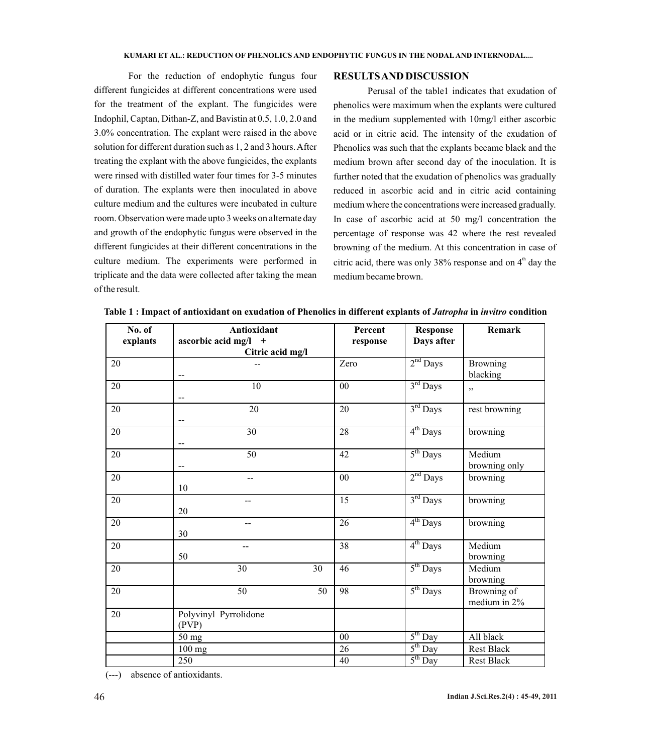For the reduction of endophytic fungus four different fungicides at different concentrations were used for the treatment of the explant. The fungicides were Indophil, Captan, Dithan-Z, and Bavistin at 0.5, 1.0, 2.0 and 3.0% concentration. The explant were raised in the above solution for different duration such as 1, 2 and 3 hours. After treating the explant with the above fungicides, the explants were rinsed with distilled water four times for 3-5 minutes of duration. The explants were then inoculated in above culture medium and the cultures were incubated in culture room. Observation were made upto 3 weeks on alternate day and growth of the endophytic fungus were observed in the different fungicides at their different concentrations in the culture medium. The experiments were performed in triplicate and the data were collected after taking the mean of the result.

## **RESULTS AND DISCUSSION**

Perusal of the table1 indicates that exudation of phenolics were maximum when the explants were cultured in the medium supplemented with 10mg/l either ascorbic acid or in citric acid. The intensity of the exudation of Phenolics was such that the explants became black and the medium brown after second day of the inoculation. It is further noted that the exudation of phenolics was gradually reduced in ascorbic acid and in citric acid containing medium where the concentrations were increased gradually. In case of ascorbic acid at 50 mg/l concentration the percentage of response was 42 where the rest revealed browning of the medium. At this concentration in case of citric acid, there was only 38% response and on  $4<sup>th</sup>$  day the medium became brown.

| No. of<br>explants | Antioxidant<br>ascorbic acid mg/l $+$<br>Citric acid mg/l | Percent<br>response | <b>Response</b><br>Days after | <b>Remark</b>               |
|--------------------|-----------------------------------------------------------|---------------------|-------------------------------|-----------------------------|
| 20                 | --                                                        | Zero                | $2nd$ Days                    | <b>Browning</b><br>blacking |
| 20                 | 10<br>$\overline{\phantom{a}}$                            | 00                  | $3rd$ Days                    | , ,                         |
| 20                 | 20<br>--                                                  | 20                  | $3rd$ Days                    | rest browning               |
| 20                 | $\overline{30}$<br>--                                     | $\overline{28}$     | $4th$ Days                    | browning                    |
| 20                 | $\overline{50}$<br>--                                     | $\overline{42}$     | $5th$ Days                    | Medium<br>browning only     |
| $\overline{20}$    | $\overline{a}$<br>10                                      | 00                  | $2nd$ Days                    | browning                    |
| 20                 | --<br>20                                                  | 15                  | $3rd$ Days                    | browning                    |
| 20                 | $-$<br>30                                                 | 26                  | $4th$ Days                    | browning                    |
| 20                 | --<br>50                                                  | 38                  | $4th$ Days                    | Medium<br>browning          |
| 20                 | 30<br>30                                                  | 46                  | $5th$ Days                    | Medium<br>browning          |
| 20                 | 50<br>50                                                  | 98                  | $5th$ Days                    | Browning of<br>medium in 2% |
| 20                 | Polyvinyl Pyrrolidone<br>(PVP)                            |                     |                               |                             |
|                    | 50 mg                                                     | 00                  | $5th$ Day                     | All black                   |
|                    | $\overline{100}$ mg                                       | $\overline{26}$     | $5th$ Day                     | <b>Rest Black</b>           |
|                    | 250                                                       | 40                  | $5^{\text{th}}$ Day           | Rest Black                  |

**Table 1 : Impact of antioxidant on exudation of Phenolics in different explants of** *Jatropha* **in** *invitro* **condition**

(---) absence of antioxidants.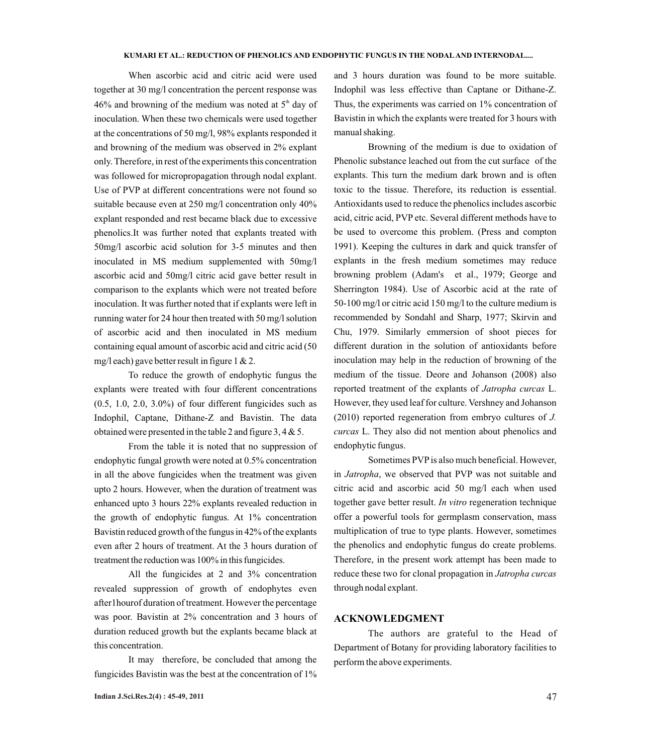When ascorbic acid and citric acid were used together at 30 mg/l concentration the percent response was 46% and browning of the medium was noted at  $5<sup>th</sup>$  day of inoculation. When these two chemicals were used together at the concentrations of 50 mg/l, 98% explants responded it and browning of the medium was observed in 2% explant only. Therefore, in rest of the experiments this concentration was followed for micropropagation through nodal explant. Use of PVP at different concentrations were not found so suitable because even at 250 mg/l concentration only 40% explant responded and rest became black due to excessive phenolics.It was further noted that explants treated with 50mg/l ascorbic acid solution for 3-5 minutes and then inoculated in MS medium supplemented with 50mg/l ascorbic acid and 50mg/l citric acid gave better result in comparison to the explants which were not treated before inoculation. It was further noted that if explants were left in running water for 24 hour then treated with 50 mg/l solution of ascorbic acid and then inoculated in MS medium containing equal amount of ascorbic acid and citric acid (50 mg/l each) gave better result in figure 1  $& 2$ .

To reduce the growth of endophytic fungus the explants were treated with four different concentrations (0.5, 1.0, 2.0, 3.0%) of four different fungicides such as Indophil, Captane, Dithane-Z and Bavistin. The data obtained were presented in the table 2 and figure 3, 4 & 5.

From the table it is noted that no suppression of endophytic fungal growth were noted at 0.5% concentration in all the above fungicides when the treatment was given upto 2 hours. However, when the duration of treatment was enhanced upto 3 hours 22% explants revealed reduction in the growth of endophytic fungus. At 1% concentration Bavistin reduced growth of the fungus in 42% of the explants even after 2 hours of treatment. At the 3 hours duration of treatment the reduction was 100% in this fungicides.

All the fungicides at 2 and 3% concentration revealed suppression of growth of endophytes even after1hourof duration of treatment. However the percentage was poor. Bavistin at 2% concentration and 3 hours of duration reduced growth but the explants became black at this concentration.

It may therefore, be concluded that among the fungicides Bavistin was the best at the concentration of 1%

**Indian J.Sci.Res.2(4) : 45-49, 2011** 47

and 3 hours duration was found to be more suitable. Indophil was less effective than Captane or Dithane-Z. Thus, the experiments was carried on 1% concentration of Bavistin in which the explants were treated for 3 hours with manual shaking.

Browning of the medium is due to oxidation of Phenolic substance leached out from the cut surface of the explants. This turn the medium dark brown and is often toxic to the tissue. Therefore, its reduction is essential. Antioxidants used to reduce the phenolics includes ascorbic acid, citric acid, PVPetc. Several different methods have to be used to overcome this problem. (Press and compton 1991). Keeping the cultures in dark and quick transfer of explants in the fresh medium sometimes may reduce browning problem (Adam's et al., 1979; George and Sherrington 1984). Use of Ascorbic acid at the rate of 50-100 mg/l or citric acid 150 mg/l to the culture medium is recommended by Sondahl and Sharp, 1977; Skirvin and Chu, 1979. Similarly emmersion of shoot pieces for different duration in the solution of antioxidants before inoculation may help in the reduction of browning of the medium of the tissue. Deore and Johanson (2008) also reported treatment of the explants of *Jatropha curcas* L. However, they used leaf for culture. Vershney and Johanson (2010) reported regeneration from embryo cultures of *J. curcas* L. They also did not mention about phenolics and endophytic fungus.

Sometimes PVP is also much beneficial. However, in *Jatropha*, we observed that PVP was not suitable and citric acid and ascorbic acid 50 mg/l each when used together gave better result. *In vitro* regeneration technique offer a powerful tools for germplasm conservation, mass multiplication of true to type plants. However, sometimes the phenolics and endophytic fungus do create problems. Therefore, in the present work attempt has been made to reduce these two for clonal propagation in *Jatropha curcas* through nodal explant.

### **ACKNOWLEDGMENT**

The authors are grateful to the Head of Department of Botany for providing laboratory facilities to perform the above experiments.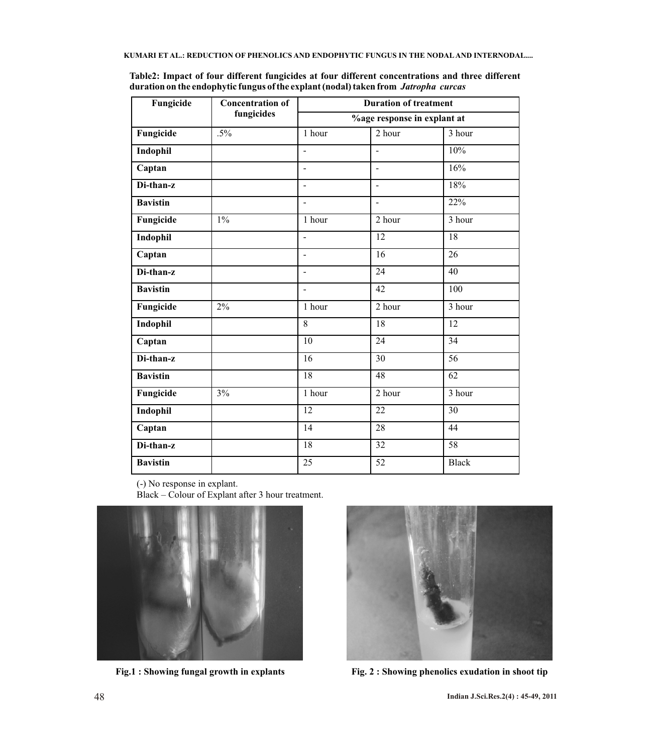| Fungicide       | <b>Concentration of</b><br>fungicides | <b>Duration of treatment</b><br>%age response in explant at |                          |                     |  |
|-----------------|---------------------------------------|-------------------------------------------------------------|--------------------------|---------------------|--|
|                 |                                       |                                                             |                          |                     |  |
| Fungicide       | $.5\%$                                | 1 hour                                                      | 2 hour                   | 3 hour              |  |
| Indophil        |                                       | $\frac{1}{2}$                                               | $\frac{1}{2}$            | 10%                 |  |
| Captan          |                                       | $\frac{1}{2}$                                               | $\blacksquare$           | 16%                 |  |
| Di-than-z       |                                       | $\frac{1}{2}$                                               | $\overline{\phantom{a}}$ | 18%                 |  |
| <b>Bavistin</b> |                                       | L.                                                          | $\overline{a}$           | 22%                 |  |
| Fungicide       | $1\%$                                 | $\overline{1}$ hour                                         | 2 hour                   | $\overline{3}$ hour |  |
| Indophil        |                                       | L.                                                          | 12                       | 18                  |  |
| Captan          |                                       | L,                                                          | 16                       | 26                  |  |
| Di-than-z       |                                       |                                                             | 24                       | 40                  |  |
| <b>Bavistin</b> |                                       | $\overline{a}$                                              | 42                       | $\overline{1}00$    |  |
| Fungicide       | 2%                                    | 1 hour                                                      | 2 hour                   | 3 hour              |  |
| Indophil        |                                       | 8                                                           | 18                       | 12                  |  |
| Captan          |                                       | $\overline{10}$                                             | $\overline{24}$          | 34                  |  |
| Di-than-z       |                                       | 16                                                          | 30                       | 56                  |  |
| <b>Bavistin</b> |                                       | 18                                                          | 48                       | $\overline{62}$     |  |
| Fungicide       | 3%                                    | 1 hour                                                      | 2 hour                   | 3 hour              |  |
| Indophil        |                                       | 12                                                          | 22                       | 30                  |  |
| Captan          |                                       | 14                                                          | $\overline{28}$          | $\overline{44}$     |  |
| Di-than-z       |                                       | $\overline{18}$                                             | $\overline{32}$          | 58                  |  |
| <b>Bavistin</b> |                                       | 25                                                          | 52                       | <b>Black</b>        |  |

**Table2: Impact of four different fungicides at four different concentrations and three different duration on the endophytic fungus of the explant (nodal) taken from** *Jatropha curcas*

(-) No response in explant.

Black – Colour of Explant after 3 hour treatment.





**Fig.1 : Showing fungal growth in explants Fig. 2 : Showing phenolics exudation in shoot tip**